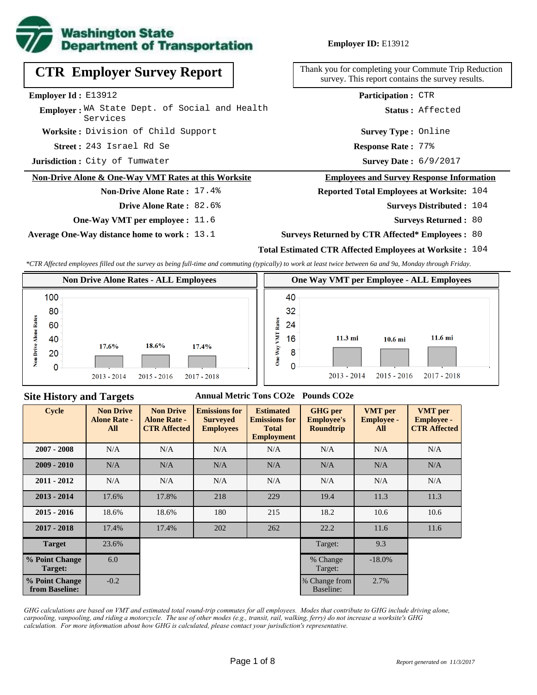

**Employer ID:** E13912

**CTR Employer Survey Report**

**Employer Id :** E13912

Employer: WA State Dept. of Social and Health Services

**Worksite :** Division of Child Support

243 Israel Rd Se **Response Rate : Street :**

**Jurisdiction :** City of Tumwater

#### **Non-Drive Alone & One-Way VMT Rates at this Worksite**

## **Non-Drive Alone Rate :** 17.4%

- **Drive Alone Rate :** 82.6%
- **One-Way VMT per employee :** 11.6

**Average One-Way distance home to work :** 13.1

Thank you for completing your Commute Trip Reduction survey. This report contains the survey results.

**Participation :** CTR

**Status :** Affected

**Survey Type :** Online

**Response Rate: 77%** 

Survey Date:  $6/9/2017$ 

#### **Employees and Survey Response Information**

#### **Reported Total Employees at Worksite:** 104

- **Surveys Distributed : 104** 
	- **Surveys Returned :** 80
- **Surveys Returned by CTR Affected\* Employees :** 80

## **Total Estimated CTR Affected Employees at Worksite :** 104

*\*CTR Affected employees filled out the survey as being full-time and commuting (typically) to work at least twice between 6a and 9a, Monday through Friday.*



#### **Site History and Targets**

## **Annual Metric Tons CO2e Pounds CO2e**

| <b>Cycle</b>                     | <b>Non Drive</b><br><b>Alone Rate -</b><br>All | <b>Non Drive</b><br><b>Alone Rate -</b><br><b>CTR Affected</b> | <b>Emissions for</b><br><b>Surveyed</b><br><b>Employees</b> | <b>Estimated</b><br><b>Emissions for</b><br><b>Total</b><br><b>Employment</b> | <b>GHG</b> per<br><b>Employee's</b><br><b>Roundtrip</b> | <b>VMT</b> per<br><b>Employee -</b><br>All | <b>VMT</b> per<br><b>Employee -</b><br><b>CTR Affected</b> |
|----------------------------------|------------------------------------------------|----------------------------------------------------------------|-------------------------------------------------------------|-------------------------------------------------------------------------------|---------------------------------------------------------|--------------------------------------------|------------------------------------------------------------|
| $2007 - 2008$                    | N/A                                            | N/A                                                            | N/A<br>N/A                                                  |                                                                               | N/A                                                     | N/A                                        | N/A                                                        |
| $2009 - 2010$                    | N/A                                            | N/A                                                            | N/A                                                         | N/A                                                                           | N/A                                                     | N/A                                        | N/A                                                        |
| $2011 - 2012$                    | N/A                                            | N/A                                                            | N/A                                                         | N/A                                                                           | N/A                                                     | N/A                                        | N/A                                                        |
| $2013 - 2014$                    | 17.6%                                          | 17.8%                                                          | 218                                                         | 229                                                                           | 19.4                                                    | 11.3                                       | 11.3                                                       |
| $2015 - 2016$                    | 18.6%                                          | 18.6%                                                          | 180                                                         | 215                                                                           | 18.2                                                    | 10.6                                       | 10.6                                                       |
| $2017 - 2018$                    | 17.4%                                          | 17.4%                                                          | 202                                                         | 262                                                                           | 22.2                                                    | 11.6                                       | 11.6                                                       |
| <b>Target</b>                    | 23.6%                                          |                                                                |                                                             |                                                                               | Target:                                                 | 9.3                                        |                                                            |
| % Point Change<br>Target:        | 6.0                                            |                                                                |                                                             |                                                                               | % Change<br>Target:                                     | $-18.0\%$                                  |                                                            |
| % Point Change<br>from Baseline: | $-0.2$                                         |                                                                |                                                             |                                                                               | % Change from<br>Baseline:                              | 2.7%                                       |                                                            |

*GHG calculations are based on VMT and estimated total round-trip commutes for all employees. Modes that contribute to GHG include driving alone, carpooling, vanpooling, and riding a motorcycle. The use of other modes (e.g., transit, rail, walking, ferry) do not increase a worksite's GHG calculation. For more information about how GHG is calculated, please contact your jurisdiction's representative.*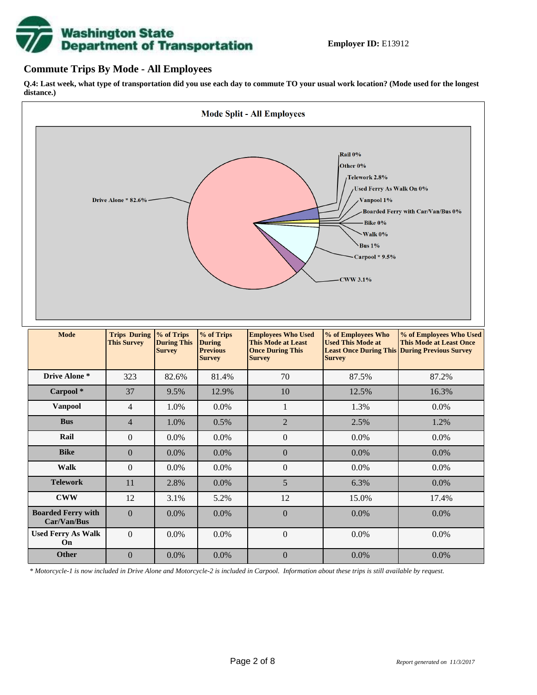# **Washington State<br>Department of Transportation**

# **Commute Trips By Mode - All Employees**

**Q.4: Last week, what type of transportation did you use each day to commute TO your usual work location? (Mode used for the longest distance.)**



*\* Motorcycle-1 is now included in Drive Alone and Motorcycle-2 is included in Carpool. Information about these trips is still available by request.*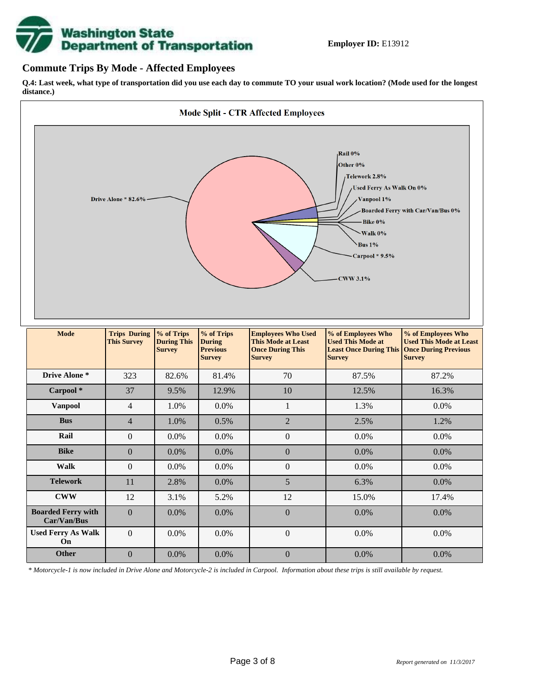

# **Commute Trips By Mode - Affected Employees**

**Q.4: Last week, what type of transportation did you use each day to commute TO your usual work location? (Mode used for the longest distance.)**



*\* Motorcycle-1 is now included in Drive Alone and Motorcycle-2 is included in Carpool. Information about these trips is still available by request.*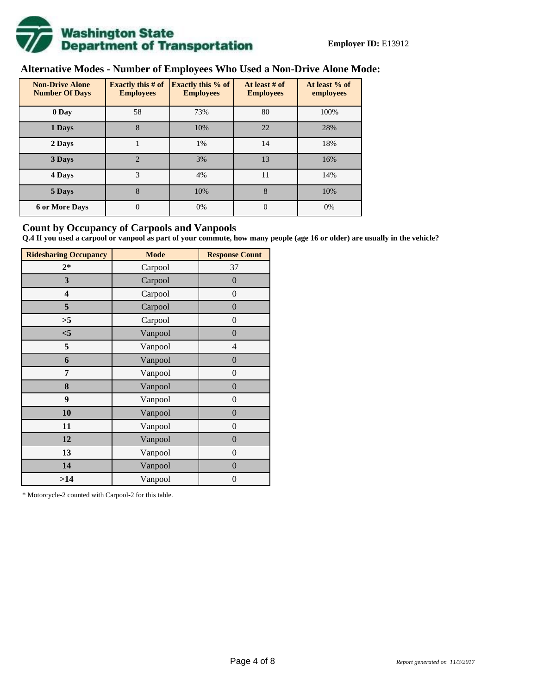

# **Alternative Modes - Number of Employees Who Used a Non-Drive Alone Mode:**

| <b>Non-Drive Alone</b><br><b>Number Of Days</b> | Exactly this $#$ of<br><b>Employees</b> | Exactly this % of<br><b>Employees</b> | At least $#$ of<br><b>Employees</b> | At least % of<br>employees |  |  |
|-------------------------------------------------|-----------------------------------------|---------------------------------------|-------------------------------------|----------------------------|--|--|
| 0 Day                                           | 58                                      | 73%                                   | 80                                  | 100%                       |  |  |
| 1 Days                                          | 8                                       | 10%                                   | 22                                  | 28%                        |  |  |
| 2 Days                                          |                                         | 1%                                    | 14                                  | 18%                        |  |  |
| 3 Days                                          | $\overline{2}$                          | 3%                                    | 13                                  | 16%                        |  |  |
| 4 Days                                          | 3                                       | 4%                                    | 11                                  | 14%                        |  |  |
| 5 Days                                          | 8                                       | 10%                                   | 8                                   | 10%                        |  |  |
| <b>6 or More Days</b>                           | $\overline{0}$                          | 0%                                    | $\theta$                            | 0%                         |  |  |

# **Count by Occupancy of Carpools and Vanpools**

**Q.4 If you used a carpool or vanpool as part of your commute, how many people (age 16 or older) are usually in the vehicle?**

| <b>Ridesharing Occupancy</b> | <b>Mode</b> | <b>Response Count</b> |
|------------------------------|-------------|-----------------------|
| $2*$                         | Carpool     | 37                    |
| 3                            | Carpool     | $\overline{0}$        |
| 4                            | Carpool     | $\boldsymbol{0}$      |
| 5                            | Carpool     | $\overline{0}$        |
| >5                           | Carpool     | $\overline{0}$        |
| $<$ 5                        | Vanpool     | $\overline{0}$        |
| 5                            | Vanpool     | $\overline{4}$        |
| 6                            | Vanpool     | $\boldsymbol{0}$      |
| 7                            | Vanpool     | $\overline{0}$        |
| 8                            | Vanpool     | $\boldsymbol{0}$      |
| 9                            | Vanpool     | $\overline{0}$        |
| 10                           | Vanpool     | $\overline{0}$        |
| 11                           | Vanpool     | $\boldsymbol{0}$      |
| 12                           | Vanpool     | $\boldsymbol{0}$      |
| 13                           | Vanpool     | $\boldsymbol{0}$      |
| 14                           | Vanpool     | $\overline{0}$        |
| >14                          | Vanpool     | $\boldsymbol{0}$      |

\* Motorcycle-2 counted with Carpool-2 for this table.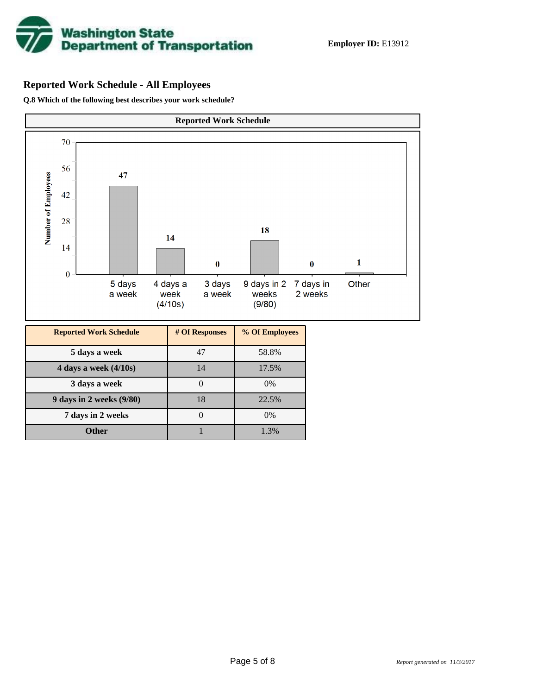

# **Reported Work Schedule - All Employees**

**Q.8 Which of the following best describes your work schedule?**

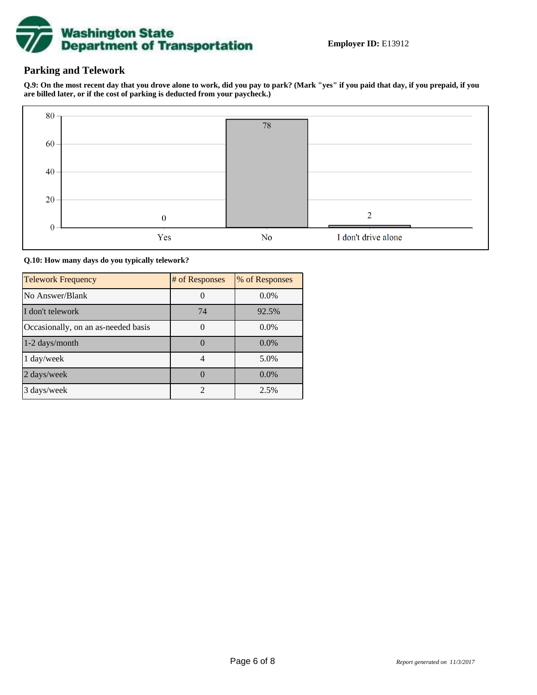

# **Parking and Telework**

**Q.9: On the most recent day that you drove alone to work, did you pay to park? (Mark "yes" if you paid that day, if you prepaid, if you are billed later, or if the cost of parking is deducted from your paycheck.)**



**Q.10: How many days do you typically telework?**

| <b>Telework Frequency</b>           | # of Responses        | % of Responses |
|-------------------------------------|-----------------------|----------------|
| No Answer/Blank                     |                       | $0.0\%$        |
| I don't telework                    | 74                    | 92.5%          |
| Occasionally, on an as-needed basis |                       | $0.0\%$        |
| 1-2 days/month                      |                       | $0.0\%$        |
| 1 day/week                          |                       | 5.0%           |
| 2 days/week                         |                       | $0.0\%$        |
| 3 days/week                         | $\mathcal{D}_{\cdot}$ | 2.5%           |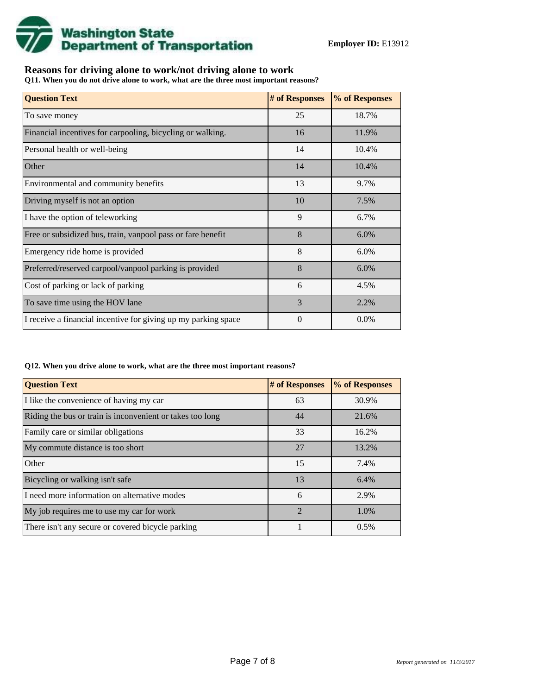

# **Reasons for driving alone to work/not driving alone to work**

**Q11. When you do not drive alone to work, what are the three most important reasons?**

| <b>Question Text</b>                                           | # of Responses | % of Responses |
|----------------------------------------------------------------|----------------|----------------|
| To save money                                                  | 25             | 18.7%          |
| Financial incentives for carpooling, bicycling or walking.     | 16             | 11.9%          |
| Personal health or well-being                                  | 14             | 10.4%          |
| Other                                                          | 14             | 10.4%          |
| Environmental and community benefits                           | 13             | 9.7%           |
| Driving myself is not an option                                | 10             | 7.5%           |
| I have the option of teleworking                               | 9              | 6.7%           |
| Free or subsidized bus, train, vanpool pass or fare benefit    | 8              | 6.0%           |
| Emergency ride home is provided                                | 8              | 6.0%           |
| Preferred/reserved carpool/vanpool parking is provided         | 8              | 6.0%           |
| Cost of parking or lack of parking                             | 6              | 4.5%           |
| To save time using the HOV lane                                | 3              | 2.2%           |
| I receive a financial incentive for giving up my parking space | $\Omega$       | 0.0%           |

#### **Q12. When you drive alone to work, what are the three most important reasons?**

| <b>Question Text</b>                                      | # of Responses | % of Responses |
|-----------------------------------------------------------|----------------|----------------|
| I like the convenience of having my car                   | 63             | 30.9%          |
| Riding the bus or train is inconvenient or takes too long | 44             | 21.6%          |
| Family care or similar obligations                        | 33             | 16.2%          |
| My commute distance is too short                          | 27             | 13.2%          |
| Other                                                     | 15             | 7.4%           |
| Bicycling or walking isn't safe                           | 13             | 6.4%           |
| I need more information on alternative modes              | 6              | 2.9%           |
| My job requires me to use my car for work                 | $\mathfrak{D}$ | 1.0%           |
| There isn't any secure or covered bicycle parking         |                | 0.5%           |